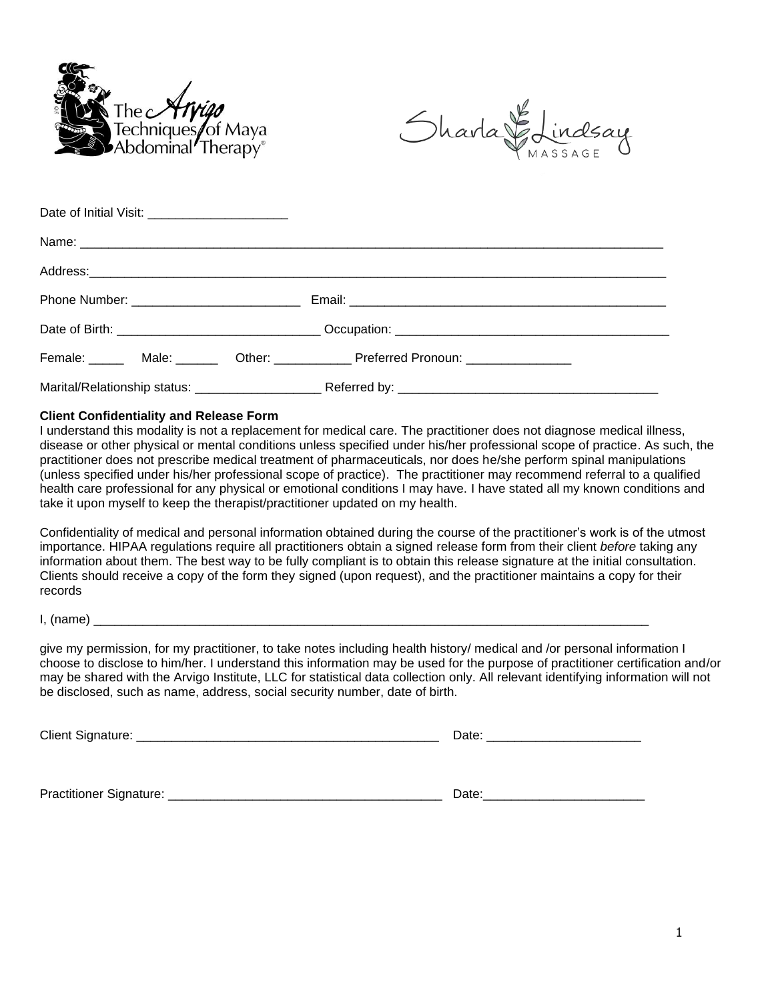



| Date of Initial Visit: _________________________ |  |                                                                                  |
|--------------------------------------------------|--|----------------------------------------------------------------------------------|
|                                                  |  |                                                                                  |
|                                                  |  |                                                                                  |
|                                                  |  |                                                                                  |
|                                                  |  |                                                                                  |
|                                                  |  | Female: _____ Male: ______ Other: ___________ Preferred Pronoun: _______________ |
|                                                  |  |                                                                                  |

#### **Client Confidentiality and Release Form**

I understand this modality is not a replacement for medical care. The practitioner does not diagnose medical illness, disease or other physical or mental conditions unless specified under his/her professional scope of practice. As such, the practitioner does not prescribe medical treatment of pharmaceuticals, nor does he/she perform spinal manipulations (unless specified under his/her professional scope of practice). The practitioner may recommend referral to a qualified health care professional for any physical or emotional conditions I may have. I have stated all my known conditions and take it upon myself to keep the therapist/practitioner updated on my health.

Confidentiality of medical and personal information obtained during the course of the practitioner's work is of the utmost importance. HIPAA regulations require all practitioners obtain a signed release form from their client *before* taking any information about them. The best way to be fully compliant is to obtain this release signature at the initial consultation. Clients should receive a copy of the form they signed (upon request), and the practitioner maintains a copy for their records

 $I, (name)$ 

give my permission, for my practitioner, to take notes including health history/ medical and /or personal information I choose to disclose to him/her. I understand this information may be used for the purpose of practitioner certification and/or may be shared with the Arvigo Institute, LLC for statistical data collection only. All relevant identifying information will not be disclosed, such as name, address, social security number, date of birth.

Client Signature: \_\_\_\_\_\_\_\_\_\_\_\_\_\_\_\_\_\_\_\_\_\_\_\_\_\_\_\_\_\_\_\_\_\_\_\_\_\_\_\_\_\_\_ Date: \_\_\_\_\_\_\_\_\_\_\_\_\_\_\_\_\_\_\_\_\_\_

Practitioner Signature: <br>
Date:

| ٠ |  |  |  |  |  |  |  |
|---|--|--|--|--|--|--|--|
| ۰ |  |  |  |  |  |  |  |
|   |  |  |  |  |  |  |  |
|   |  |  |  |  |  |  |  |
|   |  |  |  |  |  |  |  |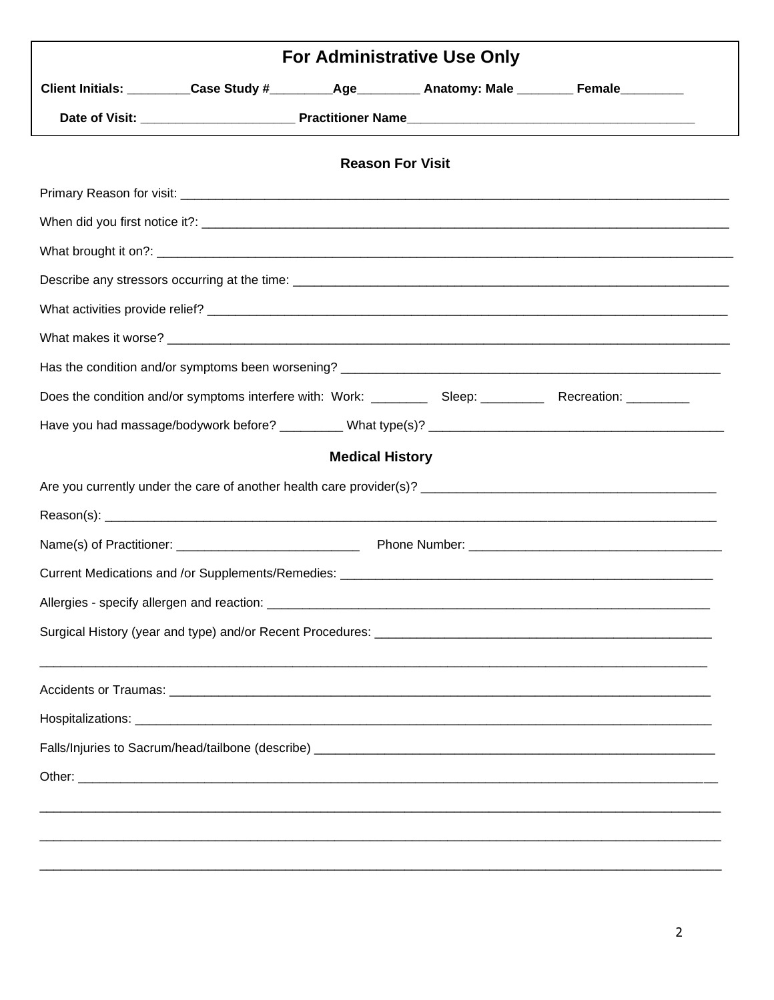|  |                        | <b>For Administrative Use Only</b>                                                                 |  |
|--|------------------------|----------------------------------------------------------------------------------------------------|--|
|  |                        | Client Initials: _________Case Study #_________Age_________ Anatomy: Male ________ Female_________ |  |
|  |                        |                                                                                                    |  |
|  |                        | <b>Reason For Visit</b>                                                                            |  |
|  |                        |                                                                                                    |  |
|  |                        |                                                                                                    |  |
|  |                        |                                                                                                    |  |
|  |                        |                                                                                                    |  |
|  |                        |                                                                                                    |  |
|  |                        |                                                                                                    |  |
|  |                        |                                                                                                    |  |
|  |                        |                                                                                                    |  |
|  |                        |                                                                                                    |  |
|  | <b>Medical History</b> |                                                                                                    |  |
|  |                        |                                                                                                    |  |
|  |                        |                                                                                                    |  |
|  |                        |                                                                                                    |  |
|  |                        |                                                                                                    |  |
|  |                        |                                                                                                    |  |
|  |                        |                                                                                                    |  |
|  |                        |                                                                                                    |  |
|  |                        |                                                                                                    |  |
|  |                        |                                                                                                    |  |
|  |                        |                                                                                                    |  |
|  |                        |                                                                                                    |  |
|  |                        |                                                                                                    |  |
|  |                        |                                                                                                    |  |
|  |                        |                                                                                                    |  |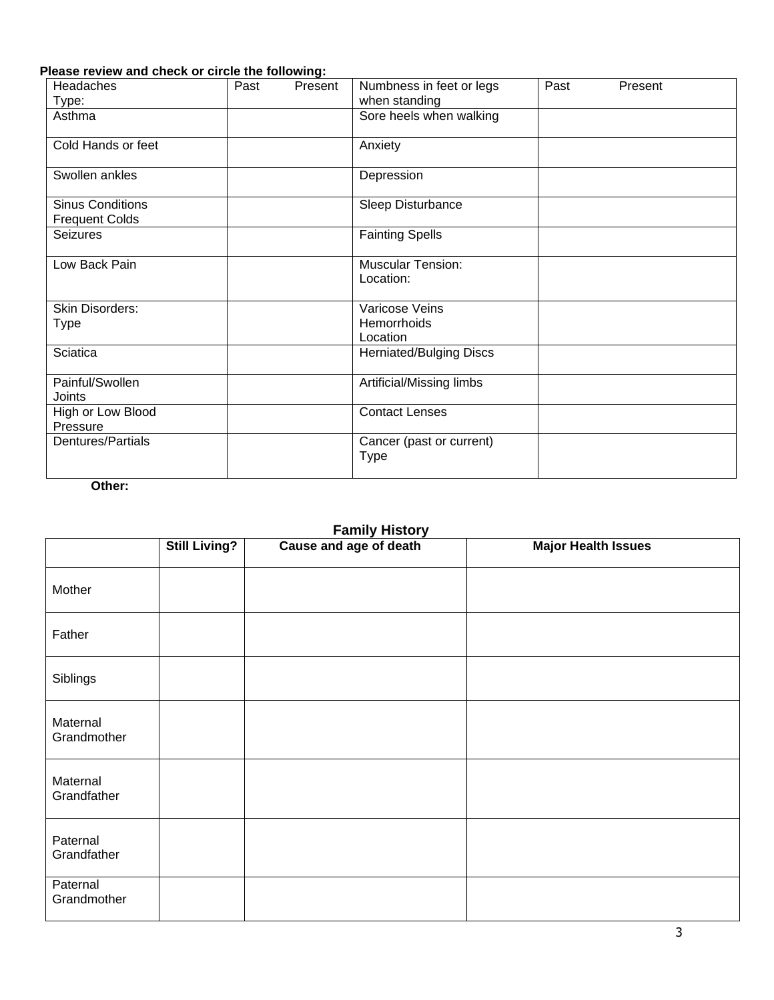### **Please review and check or circle the following:**

| <b>Headaches</b>                                 | Past | Present | Numbness in feet or legs<br>when standing | Past | Present |
|--------------------------------------------------|------|---------|-------------------------------------------|------|---------|
| Type:<br>Asthma                                  |      |         | Sore heels when walking                   |      |         |
| Cold Hands or feet                               |      |         | Anxiety                                   |      |         |
| Swollen ankles                                   |      |         | Depression                                |      |         |
| <b>Sinus Conditions</b><br><b>Frequent Colds</b> |      |         | Sleep Disturbance                         |      |         |
| <b>Seizures</b>                                  |      |         | <b>Fainting Spells</b>                    |      |         |
| Low Back Pain                                    |      |         | <b>Muscular Tension:</b><br>Location:     |      |         |
| Skin Disorders:<br><b>Type</b>                   |      |         | Varicose Veins<br>Hemorrhoids<br>Location |      |         |
| <b>Sciatica</b>                                  |      |         | <b>Herniated/Bulging Discs</b>            |      |         |
| Painful/Swollen<br>Joints                        |      |         | Artificial/Missing limbs                  |      |         |
| High or Low Blood<br>Pressure                    |      |         | <b>Contact Lenses</b>                     |      |         |
| Dentures/Partials                                |      |         | Cancer (past or current)<br><b>Type</b>   |      |         |

**Other:**

### **Family History**

|                         | <b>Still Living?</b> | Cause and age of death | <b>Major Health Issues</b> |
|-------------------------|----------------------|------------------------|----------------------------|
| Mother                  |                      |                        |                            |
| Father                  |                      |                        |                            |
| Siblings                |                      |                        |                            |
| Maternal<br>Grandmother |                      |                        |                            |
| Maternal<br>Grandfather |                      |                        |                            |
| Paternal<br>Grandfather |                      |                        |                            |
| Paternal<br>Grandmother |                      |                        |                            |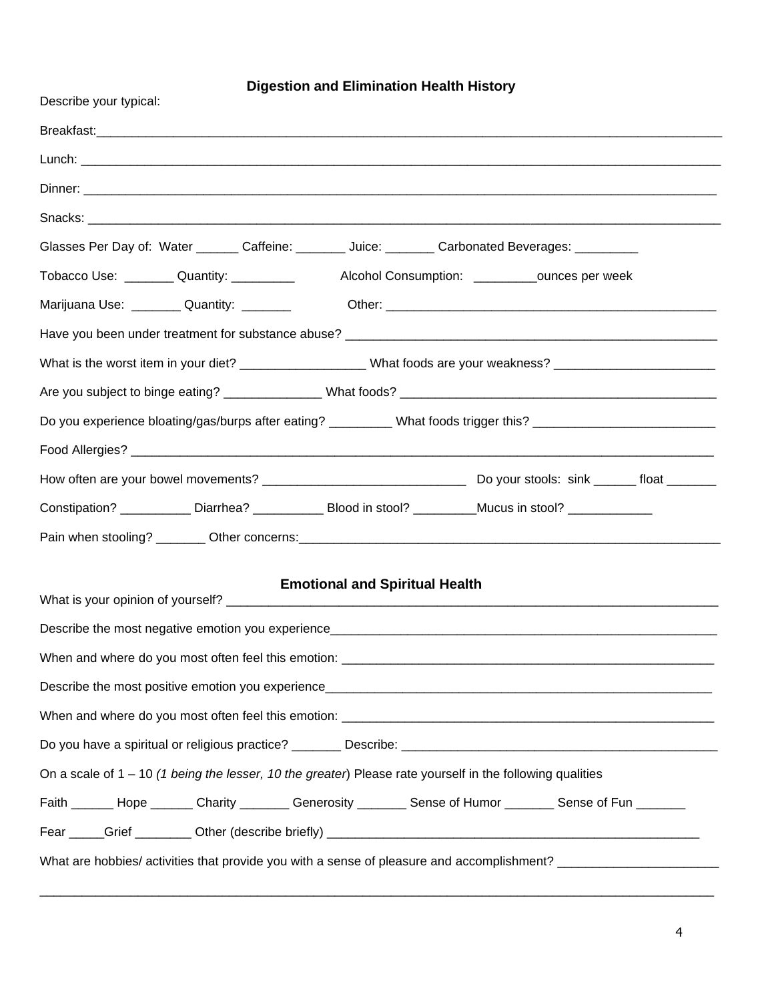## **Digestion and Elimination Health History**

| Describe your typical:                                                                                         |
|----------------------------------------------------------------------------------------------------------------|
|                                                                                                                |
|                                                                                                                |
|                                                                                                                |
|                                                                                                                |
| Glasses Per Day of: Water _______ Caffeine: _______ Juice: _______ Carbonated Beverages: _________             |
| Tobacco Use: _________ Quantity: __________<br>Alcohol Consumption: ____________ounces per week                |
| Marijuana Use: __________ Quantity: ________                                                                   |
|                                                                                                                |
| What is the worst item in your diet? ____________________What foods are your weakness? _______________________ |
|                                                                                                                |
| Do you experience bloating/gas/burps after eating? _________ What foods trigger this? ________________________ |
|                                                                                                                |
|                                                                                                                |
| Constipation? ____________ Diarrhea? ____________ Blood in stool? _________Mucus in stool? ______________      |
|                                                                                                                |
|                                                                                                                |
|                                                                                                                |
| <b>Emotional and Spiritual Health</b>                                                                          |
|                                                                                                                |
|                                                                                                                |
|                                                                                                                |
|                                                                                                                |
|                                                                                                                |
| On a scale of $1 - 10$ (1 being the lesser, 10 the greater) Please rate yourself in the following qualities    |
| Faith ______ Hope ______ Charity _______ Generosity _______ Sense of Humor _______ Sense of Fun _______        |
|                                                                                                                |

\_\_\_\_\_\_\_\_\_\_\_\_\_\_\_\_\_\_\_\_\_\_\_\_\_\_\_\_\_\_\_\_\_\_\_\_\_\_\_\_\_\_\_\_\_\_\_\_\_\_\_\_\_\_\_\_\_\_\_\_\_\_\_\_\_\_\_\_\_\_\_\_\_\_\_\_\_\_\_\_\_\_\_\_\_\_\_\_\_\_\_\_\_\_\_\_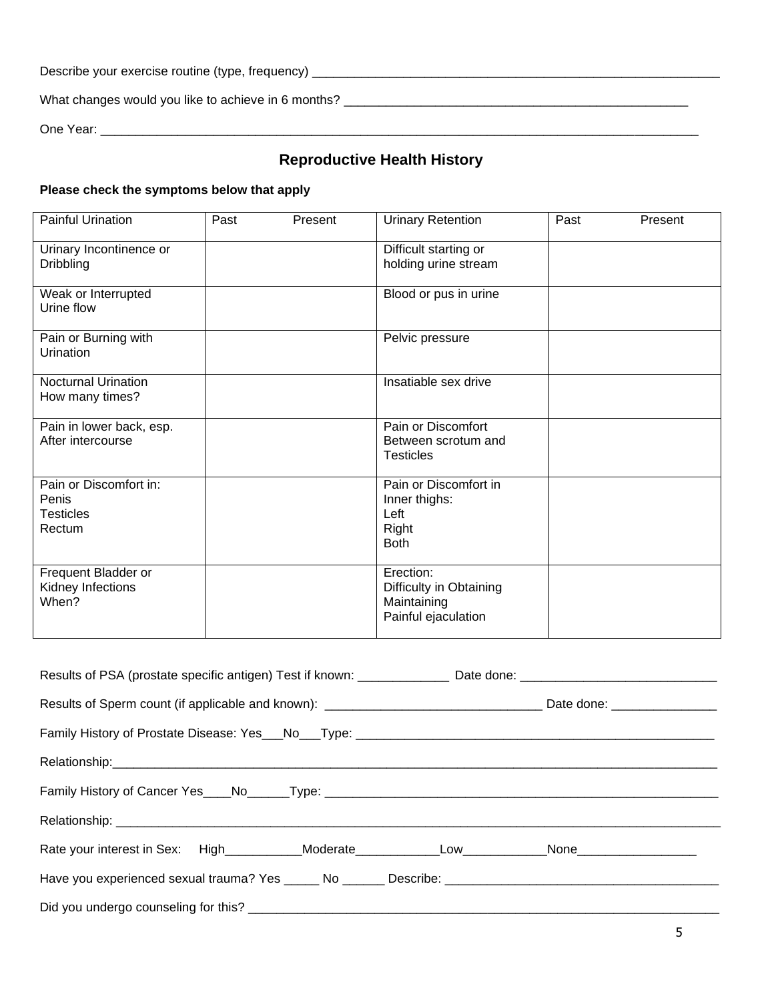| Describe your exercise routine (type, frequency) |  |
|--------------------------------------------------|--|
|--------------------------------------------------|--|

What changes would you like to achieve in 6 months? \_\_\_\_\_\_\_\_\_\_\_\_\_\_\_\_\_\_\_\_\_\_\_\_\_\_\_\_\_\_\_\_\_\_\_\_\_\_\_\_\_\_\_\_\_\_\_\_\_

One Year: \_\_\_\_\_\_\_\_\_\_\_\_\_\_\_\_\_\_\_\_\_\_\_\_\_\_\_\_\_\_\_\_\_\_\_\_\_\_\_\_\_\_\_\_\_\_\_\_\_\_\_\_\_\_\_\_\_\_\_\_\_\_\_\_\_\_\_\_\_\_\_\_\_\_\_\_\_\_\_\_\_\_\_\_\_

# **Reproductive Health History**

### **Please check the symptoms below that apply**

| <b>Painful Urination</b>                                      | Past | Present | <b>Urinary Retention</b>                                                   | Past | Present |
|---------------------------------------------------------------|------|---------|----------------------------------------------------------------------------|------|---------|
| Urinary Incontinence or<br><b>Dribbling</b>                   |      |         | Difficult starting or<br>holding urine stream                              |      |         |
| Weak or Interrupted<br>Urine flow                             |      |         | Blood or pus in urine                                                      |      |         |
| Pain or Burning with<br>Urination                             |      |         | Pelvic pressure                                                            |      |         |
| <b>Nocturnal Urination</b><br>How many times?                 |      |         | Insatiable sex drive                                                       |      |         |
| Pain in lower back, esp.<br>After intercourse                 |      |         | Pain or Discomfort<br>Between scrotum and<br><b>Testicles</b>              |      |         |
| Pain or Discomfort in:<br>Penis<br><b>Testicles</b><br>Rectum |      |         | Pain or Discomfort in<br>Inner thighs:<br>Left<br>Right<br><b>Both</b>     |      |         |
| Frequent Bladder or<br>Kidney Infections<br>When?             |      |         | Erection:<br>Difficulty in Obtaining<br>Maintaining<br>Painful ejaculation |      |         |

| Family History of Cancer Yes____No_____Type: ___________________________________                     |  |
|------------------------------------------------------------------------------------------------------|--|
|                                                                                                      |  |
|                                                                                                      |  |
| Have you experienced sexual trauma? Yes _____ No ______ Describe: __________________________________ |  |
|                                                                                                      |  |